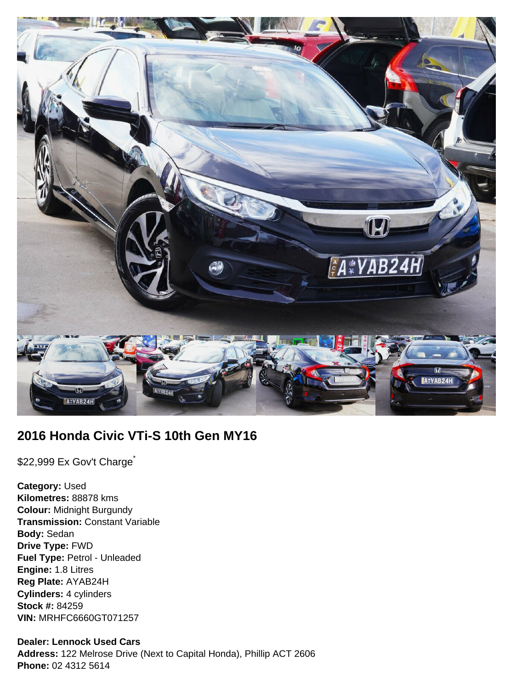

# **2016 Honda Civic VTi-S 10th Gen MY16**

\$22,999 Ex Gov't Charge<sup>\*</sup>

**Category:** Used **Kilometres:** 88878 kms **Colour:** Midnight Burgundy **Transmission:** Constant Variable **Body:** Sedan **Drive Type:** FWD **Fuel Type:** Petrol - Unleaded **Engine:** 1.8 Litres **Reg Plate:** AYAB24H **Cylinders:** 4 cylinders **Stock #:** 84259 **VIN:** MRHFC6660GT071257

### **Dealer: Lennock Used Cars**

**Address:** 122 Melrose Drive (Next to Capital Honda), Phillip ACT 2606 **Phone:** 02 4312 5614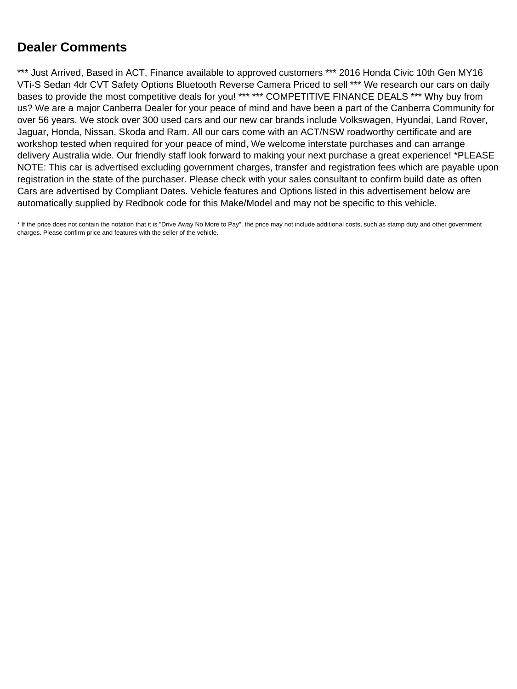# **Dealer Comments**

\*\*\* Just Arrived, Based in ACT, Finance available to approved customers \*\*\* 2016 Honda Civic 10th Gen MY16 VTi-S Sedan 4dr CVT Safety Options Bluetooth Reverse Camera Priced to sell \*\*\* We research our cars on daily bases to provide the most competitive deals for you! \*\*\* \*\*\* COMPETITIVE FINANCE DEALS \*\*\* Why buy from us? We are a major Canberra Dealer for your peace of mind and have been a part of the Canberra Community for over 56 years. We stock over 300 used cars and our new car brands include Volkswagen, Hyundai, Land Rover, Jaguar, Honda, Nissan, Skoda and Ram. All our cars come with an ACT/NSW roadworthy certificate and are workshop tested when required for your peace of mind, We welcome interstate purchases and can arrange delivery Australia wide. Our friendly staff look forward to making your next purchase a great experience! \*PLEASE NOTE: This car is advertised excluding government charges, transfer and registration fees which are payable upon registration in the state of the purchaser. Please check with your sales consultant to confirm build date as often Cars are advertised by Compliant Dates. Vehicle features and Options listed in this advertisement below are automatically supplied by Redbook code for this Make/Model and may not be specific to this vehicle.

\* If the price does not contain the notation that it is "Drive Away No More to Pay", the price may not include additional costs, such as stamp duty and other government charges. Please confirm price and features with the seller of the vehicle.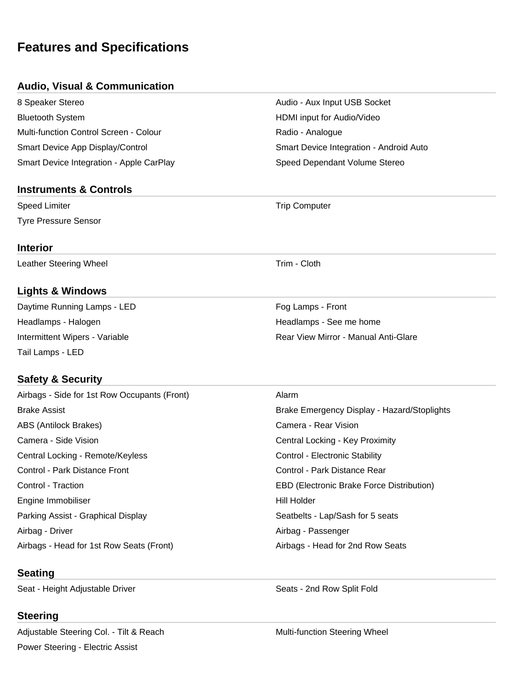# **Features and Specifications**

## **Audio, Visual & Communication**

| 8 Speaker Stereo                         |
|------------------------------------------|
| <b>Bluetooth System</b>                  |
| Multi-function Control Screen - Colour   |
| Smart Device App Display/Control         |
| Smart Device Integration - Apple CarPlay |

### **Instruments & Controls**

Speed Limiter **Trip Computer** Trip Computer Tyre Pressure Sensor

### **Interior**

Leather Steering Wheel **Trim** - Cloth

# **Lights & Windows**

Daytime Running Lamps - LED Fog Lamps - Front Headlamps - Halogen **Headlamps - See me home** Headlamps - See me home Tail Lamps - LED

# **Safety & Security**

| Airbags - Side for 1st Row Occupants (Front) | Alarm                                            |
|----------------------------------------------|--------------------------------------------------|
| <b>Brake Assist</b>                          | Brake Emergency Display - Hazard/Stoplights      |
| ABS (Antilock Brakes)                        | Camera - Rear Vision                             |
| Camera - Side Vision                         | Central Locking - Key Proximity                  |
| Central Locking - Remote/Keyless             | Control - Electronic Stability                   |
| Control - Park Distance Front                | Control - Park Distance Rear                     |
| Control - Traction                           | <b>EBD (Electronic Brake Force Distribution)</b> |
| Engine Immobiliser                           | Hill Holder                                      |
| Parking Assist - Graphical Display           | Seatbelts - Lap/Sash for 5 seats                 |
| Airbag - Driver                              | Airbag - Passenger                               |
| Airbags - Head for 1st Row Seats (Front)     | Airbags - Head for 2nd Row Seats                 |

## **Seating**

Seat - Height Adjustable Driver Seats - 2nd Row Split Fold

## **Steering**

Adjustable Steering Col. - Tilt & Reach Multi-function Steering Wheel Power Steering - Electric Assist

Audio - Aux Input USB Socket HDMI input for Audio/Video Radio - Analogue Smart Device Integration - Android Auto ay and Care Care Care Care Care Speed Dependant Volume Stereo

Intermittent Wipers - Variable **Rear View Mirror - Manual Anti-Glare** Rear View Mirror - Manual Anti-Glare